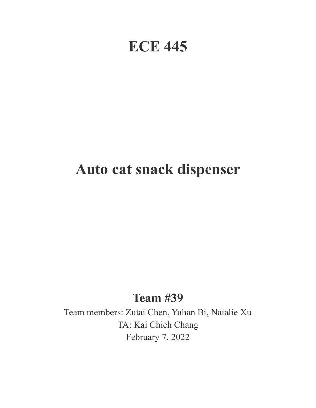# **ECE 445**

# **Auto cat snack dispenser**

## **Team #39**

Team members: Zutai Chen, Yuhan Bi, Natalie Xu TA: Kai Chieh Chang February 7, 2022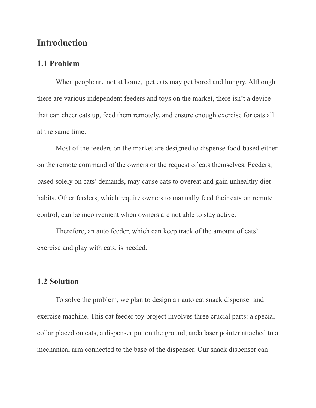### **Introduction**

#### **1.1 Problem**

When people are not at home, pet cats may get bored and hungry. Although there are various independent feeders and toys on the market, there isn't a device that can cheer cats up, feed them remotely, and ensure enough exercise for cats all at the same time.

Most of the feeders on the market are designed to dispense food-based either on the remote command of the owners or the request of cats themselves. Feeders, based solely on cats' demands, may cause cats to overeat and gain unhealthy diet habits. Other feeders, which require owners to manually feed their cats on remote control, can be inconvenient when owners are not able to stay active.

Therefore, an auto feeder, which can keep track of the amount of cats' exercise and play with cats, is needed.

### **1.2 Solution**

To solve the problem, we plan to design an auto cat snack dispenser and exercise machine. This cat feeder toy project involves three crucial parts: a special collar placed on cats, a dispenser put on the ground, anda laser pointer attached to a mechanical arm connected to the base of the dispenser. Our snack dispenser can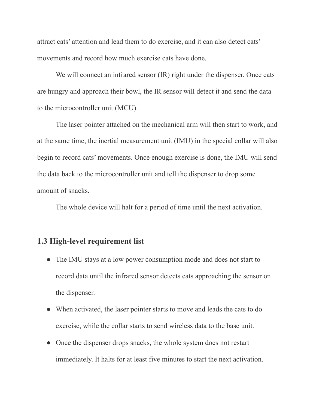attract cats' attention and lead them to do exercise, and it can also detect cats' movements and record how much exercise cats have done.

We will connect an infrared sensor *(IR)* right under the dispenser. Once cats are hungry and approach their bowl, the IR sensor will detect it and send the data to the microcontroller unit (MCU).

The laser pointer attached on the mechanical arm will then start to work, and at the same time, the inertial measurement unit (IMU) in the special collar will also begin to record cats' movements. Once enough exercise is done, the IMU will send the data back to the microcontroller unit and tell the dispenser to drop some amount of snacks.

The whole device will halt for a period of time until the next activation.

#### **1.3 High-level requirement list**

- The IMU stays at a low power consumption mode and does not start to record data until the infrared sensor detects cats approaching the sensor on the dispenser.
- When activated, the laser pointer starts to move and leads the cats to do exercise, while the collar starts to send wireless data to the base unit.
- Once the dispenser drops snacks, the whole system does not restart immediately. It halts for at least five minutes to start the next activation.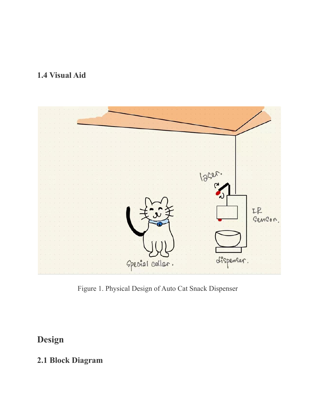## **1.4 Visual Aid**



Figure 1. Physical Design of Auto Cat Snack Dispenser

## **Design**

## **2.1 Block Diagram**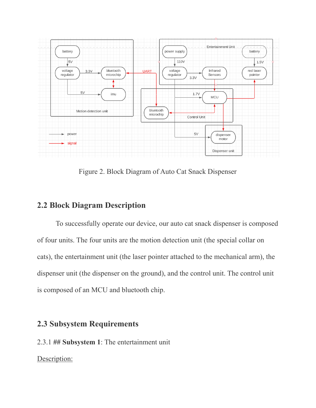

Figure 2. Block Diagram of Auto Cat Snack Dispenser

## **2.2 Block Diagram Description**

To successfully operate our device, our auto cat snack dispenser is composed of four units. The four units are the motion detection unit (the special collar on cats), the entertainment unit (the laser pointer attached to the mechanical arm), the dispenser unit (the dispenser on the ground), and the control unit. The control unit is composed of an MCU and bluetooth chip.

### **2.3 Subsystem Requirements**

2.3.1 **## Subsystem 1**: The entertainment unit

#### Description: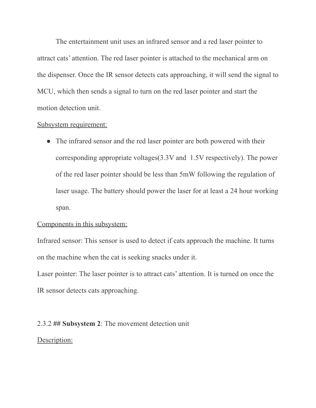The entertainment unit uses an infrared sensor and a red laser pointer to attract cats' attention. The red laser pointer is attached to the mechanical arm on the dispenser. Once the IR sensor detects cats approaching, it will send the signal to MCU, which then sends a signal to turn on the red laser pointer and start the motion detection unit.

#### Subsystem requirement:

• The infrared sensor and the red laser pointer are both powered with their corresponding appropriate voltages(3.3V and 1.5V respectively). The power of the red laser pointer should be less than 5mW following the regulation of laser usage. The battery should power the laser for at least a 24 hour working span.

#### Components in this subsystem:

Infrared sensor: This sensor is used to detect if cats approach the machine. It turns on the machine when the cat is seeking snacks under it.

Laser pointer: The laser pointer is to attract cats' attention. It is turned on once the IR sensor detects cats approaching.

#### 2.3.2 **## Subsystem 2**: The movement detection unit

#### Description: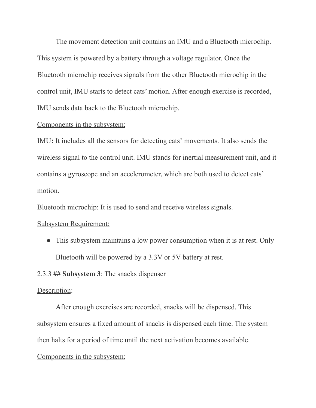The movement detection unit contains an IMU and a Bluetooth microchip. This system is powered by a battery through a voltage regulator. Once the Bluetooth microchip receives signals from the other Bluetooth microchip in the control unit, IMU starts to detect cats' motion. After enough exercise is recorded, IMU sends data back to the Bluetooth microchip.

#### Components in the subsystem:

IMU**:** It includes all the sensors for detecting cats' movements. It also sends the wireless signal to the control unit. IMU stands for inertial measurement unit, and it contains a gyroscope and an accelerometer, which are both used to detect cats' motion.

Bluetooth microchip: It is used to send and receive wireless signals.

#### Subsystem Requirement:

• This subsystem maintains a low power consumption when it is at rest. Only Bluetooth will be powered by a 3.3V or 5V battery at rest.

#### 2.3.3 **## Subsystem 3**: The snacks dispenser

#### Description:

After enough exercises are recorded, snacks will be dispensed. This subsystem ensures a fixed amount of snacks is dispensed each time. The system then halts for a period of time until the next activation becomes available.

#### Components in the subsystem: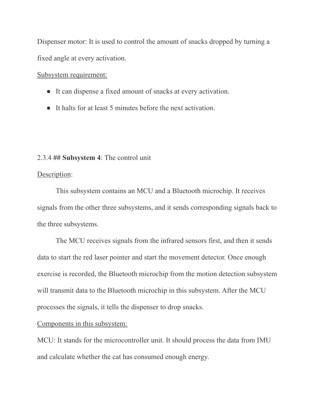Dispenser motor: It is used to control the amount of snacks dropped by turning a fixed angle at every activation.

Subsystem requirement:

- It can dispense a fixed amount of snacks at every activation.
- It halts for at least 5 minutes before the next activation.

#### 2.3.4 **## Subsystem 4**: The control unit

#### Description:

This subsystem contains an MCU and a Bluetooth microchip. It receives signals from the other three subsystems, and it sends corresponding signals back to the three subsystems.

The MCU receives signals from the infrared sensors first, and then it sends data to start the red laser pointer and start the movement detector. Once enough exercise is recorded, the Bluetooth microchip from the motion detection subsystem will transmit data to the Bluetooth microchip in this subsystem. After the MCU processes the signals, it tells the dispenser to drop snacks.

#### Components in this subsystem:

MCU: It stands for the microcontroller unit. It should process the data from IMU and calculate whether the cat has consumed enough energy.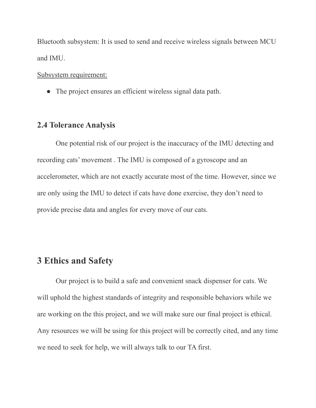Bluetooth subsystem: It is used to send and receive wireless signals between MCU and IMU.

Subsystem requirement:

• The project ensures an efficient wireless signal data path.

#### **2.4 Tolerance Analysis**

One potential risk of our project is the inaccuracy of the IMU detecting and recording cats' movement . The IMU is composed of a gyroscope and an accelerometer, which are not exactly accurate most of the time. However, since we are only using the IMU to detect if cats have done exercise, they don't need to provide precise data and angles for every move of our cats.

### **3 Ethics and Safety**

Our project is to build a safe and convenient snack dispenser for cats. We will uphold the highest standards of integrity and responsible behaviors while we are working on the this project, and we will make sure our final project is ethical. Any resources we will be using for this project will be correctly cited, and any time we need to seek for help, we will always talk to our TA first.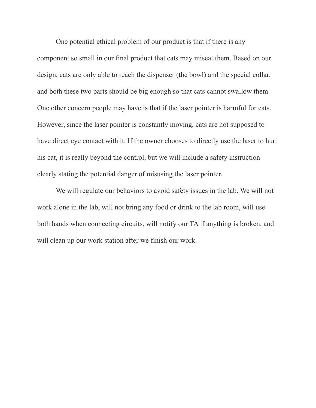One potential ethical problem of our product is that if there is any component so small in our final product that cats may miseat them. Based on our design, cats are only able to reach the dispenser (the bowl) and the special collar, and both these two parts should be big enough so that cats cannot swallow them. One other concern people may have is that if the laser pointer is harmful for cats. However, since the laser pointer is constantly moving, cats are not supposed to have direct eye contact with it. If the owner chooses to directly use the laser to hurt his cat, it is really beyond the control, but we will include a safety instruction clearly stating the potential danger of misusing the laser pointer.

We will regulate our behaviors to avoid safety issues in the lab. We will not work alone in the lab, will not bring any food or drink to the lab room, will use both hands when connecting circuits, will notify our TA if anything is broken, and will clean up our work station after we finish our work.